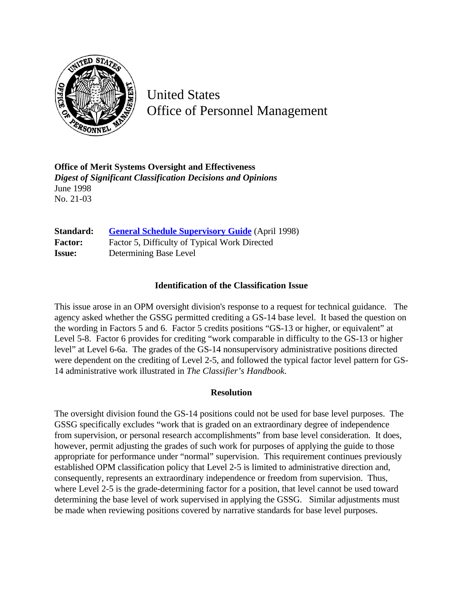

United States Office of Personnel Management

**Office of Merit Systems Oversight and Effectiveness** *Digest of Significant Classification Decisions and Opinions* June 1998 No. 21-03

**Standard: [General Schedule Supervisory Guide](http://www.opm.gov/hr/fedclass/gssg.pdf)** (April 1998) Factor: Factor 5, Difficulty of Typical Work Directed **Issue:** Determining Base Level

## **Identification of the Classification Issue**

This issue arose in an OPM oversight division's response to a request for technical guidance. The agency asked whether the GSSG permitted crediting a GS-14 base level. It based the question on the wording in Factors 5 and 6. Factor 5 credits positions "GS-13 or higher, or equivalent" at Level 5-8. Factor 6 provides for crediting "work comparable in difficulty to the GS-13 or higher level" at Level 6-6a. The grades of the GS-14 nonsupervisory administrative positions directed were dependent on the crediting of Level 2-5, and followed the typical factor level pattern for GS-14 administrative work illustrated in *The Classifier's Handbook*.

## **Resolution**

The oversight division found the GS-14 positions could not be used for base level purposes. The GSSG specifically excludes "work that is graded on an extraordinary degree of independence from supervision, or personal research accomplishments" from base level consideration. It does, however, permit adjusting the grades of such work for purposes of applying the guide to those appropriate for performance under "normal" supervision. This requirement continues previously established OPM classification policy that Level 2-5 is limited to administrative direction and, consequently, represents an extraordinary independence or freedom from supervision. Thus, where Level 2-5 is the grade-determining factor for a position, that level cannot be used toward determining the base level of work supervised in applying the GSSG. Similar adjustments must be made when reviewing positions covered by narrative standards for base level purposes.